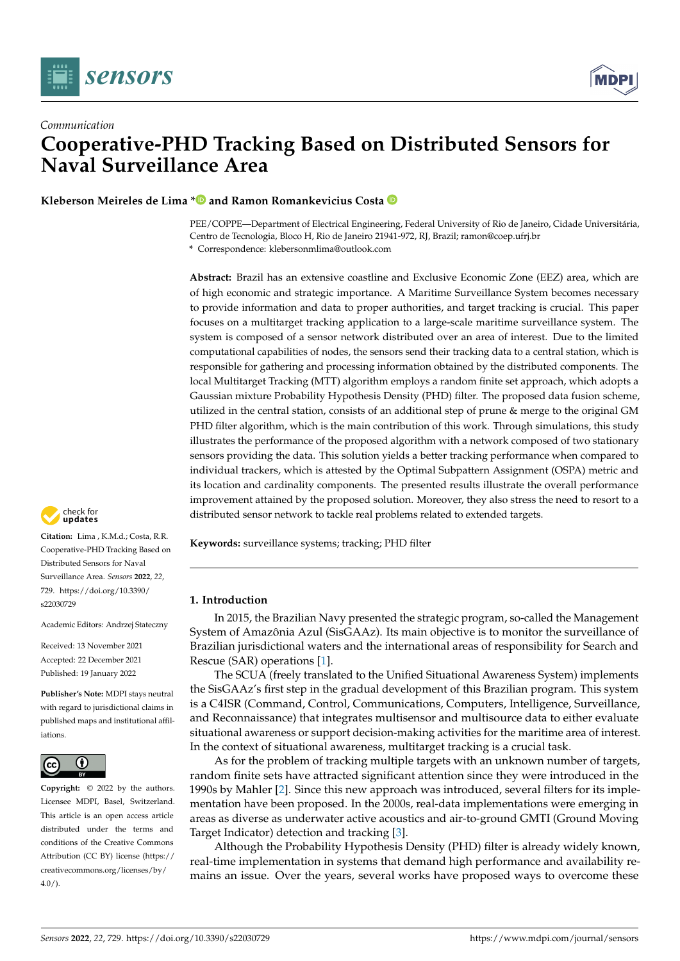



# *Communication* **Cooperative-PHD Tracking Based on Distributed Sensors for Naval Surveillance Area**

**Kleberson Meireles de Lima [\\*](https://orcid.org/0000-0003-4007-8331) and Ramon Romankevicius Costa**

PEE/COPPE—Department of Electrical Engineering, Federal University of Rio de Janeiro, Cidade Universitária, Centro de Tecnologia, Bloco H, Rio de Janeiro 21941-972, RJ, Brazil; ramon@coep.ufrj.br

**\*** Correspondence: klebersonmlima@outlook.com

**Abstract:** Brazil has an extensive coastline and Exclusive Economic Zone (EEZ) area, which are of high economic and strategic importance. A Maritime Surveillance System becomes necessary to provide information and data to proper authorities, and target tracking is crucial. This paper focuses on a multitarget tracking application to a large-scale maritime surveillance system. The system is composed of a sensor network distributed over an area of interest. Due to the limited computational capabilities of nodes, the sensors send their tracking data to a central station, which is responsible for gathering and processing information obtained by the distributed components. The local Multitarget Tracking (MTT) algorithm employs a random finite set approach, which adopts a Gaussian mixture Probability Hypothesis Density (PHD) filter. The proposed data fusion scheme, utilized in the central station, consists of an additional step of prune & merge to the original GM PHD filter algorithm, which is the main contribution of this work. Through simulations, this study illustrates the performance of the proposed algorithm with a network composed of two stationary sensors providing the data. This solution yields a better tracking performance when compared to individual trackers, which is attested by the Optimal Subpattern Assignment (OSPA) metric and its location and cardinality components. The presented results illustrate the overall performance improvement attained by the proposed solution. Moreover, they also stress the need to resort to a distributed sensor network to tackle real problems related to extended targets.

**Keywords:** surveillance systems; tracking; PHD filter

# **1. Introduction**

In 2015, the Brazilian Navy presented the strategic program, so-called the Management System of Amazônia Azul (SisGAAz). Its main objective is to monitor the surveillance of Brazilian jurisdictional waters and the international areas of responsibility for Search and Rescue (SAR) operations [\[1\]](#page-17-0).

The SCUA (freely translated to the Unified Situational Awareness System) implements the SisGAAz's first step in the gradual development of this Brazilian program. This system is a C4ISR (Command, Control, Communications, Computers, Intelligence, Surveillance, and Reconnaissance) that integrates multisensor and multisource data to either evaluate situational awareness or support decision-making activities for the maritime area of interest. In the context of situational awareness, multitarget tracking is a crucial task.

As for the problem of tracking multiple targets with an unknown number of targets, random finite sets have attracted significant attention since they were introduced in the 1990s by Mahler [\[2\]](#page-17-1). Since this new approach was introduced, several filters for its implementation have been proposed. In the 2000s, real-data implementations were emerging in areas as diverse as underwater active acoustics and air-to-ground GMTI (Ground Moving Target Indicator) detection and tracking [\[3\]](#page-17-2).

Although the Probability Hypothesis Density (PHD) filter is already widely known, real-time implementation in systems that demand high performance and availability remains an issue. Over the years, several works have proposed ways to overcome these



**Citation:** Lima , K.M.d.; Costa, R.R. Cooperative-PHD Tracking Based on Distributed Sensors for Naval Surveillance Area. *Sensors* **2022**, *22*, 729. [https://doi.org/10.3390/](https://doi.org/10.3390/s22030729) [s22030729](https://doi.org/10.3390/s22030729)

Academic Editors: Andrzej Stateczny

Received: 13 November 2021 Accepted: 22 December 2021 Published: 19 January 2022

**Publisher's Note:** MDPI stays neutral with regard to jurisdictional claims in published maps and institutional affiliations.



**Copyright:** © 2022 by the authors. Licensee MDPI, Basel, Switzerland. This article is an open access article distributed under the terms and conditions of the Creative Commons Attribution (CC BY) license [\(https://](https://creativecommons.org/licenses/by/4.0/) [creativecommons.org/licenses/by/](https://creativecommons.org/licenses/by/4.0/)  $4.0/$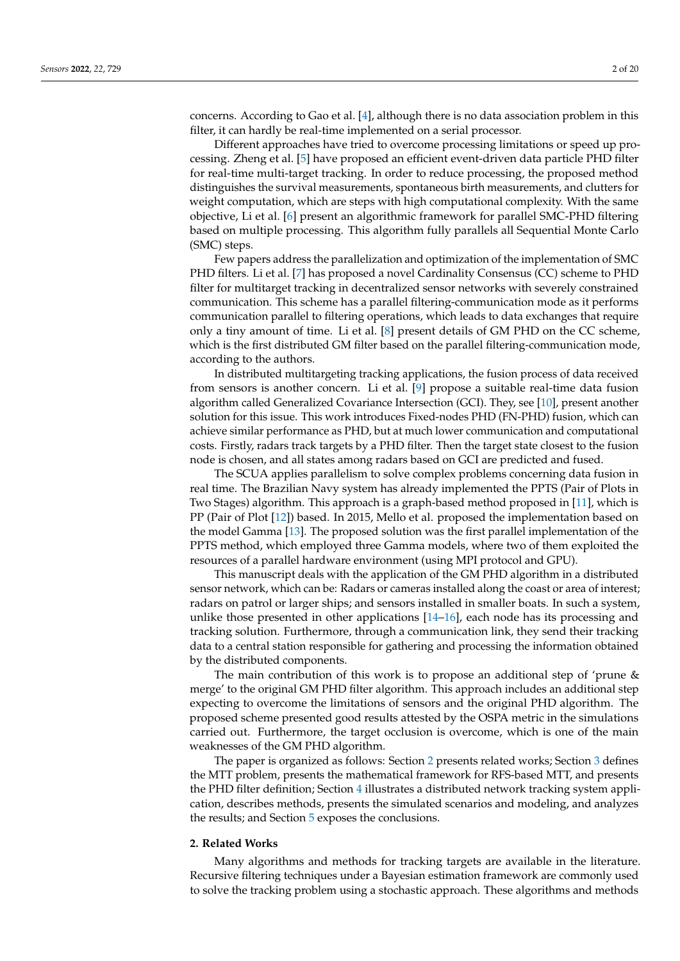concerns. According to Gao et al. [\[4\]](#page-17-3), although there is no data association problem in this filter, it can hardly be real-time implemented on a serial processor.

Different approaches have tried to overcome processing limitations or speed up processing. Zheng et al. [\[5\]](#page-17-4) have proposed an efficient event-driven data particle PHD filter for real-time multi-target tracking. In order to reduce processing, the proposed method distinguishes the survival measurements, spontaneous birth measurements, and clutters for weight computation, which are steps with high computational complexity. With the same objective, Li et al. [\[6\]](#page-17-5) present an algorithmic framework for parallel SMC-PHD filtering based on multiple processing. This algorithm fully parallels all Sequential Monte Carlo (SMC) steps.

Few papers address the parallelization and optimization of the implementation of SMC PHD filters. Li et al. [\[7\]](#page-18-0) has proposed a novel Cardinality Consensus (CC) scheme to PHD filter for multitarget tracking in decentralized sensor networks with severely constrained communication. This scheme has a parallel filtering-communication mode as it performs communication parallel to filtering operations, which leads to data exchanges that require only a tiny amount of time. Li et al. [\[8\]](#page-18-1) present details of GM PHD on the CC scheme, which is the first distributed GM filter based on the parallel filtering-communication mode, according to the authors.

In distributed multitargeting tracking applications, the fusion process of data received from sensors is another concern. Li et al. [\[9\]](#page-18-2) propose a suitable real-time data fusion algorithm called Generalized Covariance Intersection (GCI). They, see [\[10\]](#page-18-3), present another solution for this issue. This work introduces Fixed-nodes PHD (FN-PHD) fusion, which can achieve similar performance as PHD, but at much lower communication and computational costs. Firstly, radars track targets by a PHD filter. Then the target state closest to the fusion node is chosen, and all states among radars based on GCI are predicted and fused.

The SCUA applies parallelism to solve complex problems concerning data fusion in real time. The Brazilian Navy system has already implemented the PPTS (Pair of Plots in Two Stages) algorithm. This approach is a graph-based method proposed in [\[11\]](#page-18-4), which is PP (Pair of Plot [\[12\]](#page-18-5)) based. In 2015, Mello et al. proposed the implementation based on the model Gamma [\[13\]](#page-18-6). The proposed solution was the first parallel implementation of the PPTS method, which employed three Gamma models, where two of them exploited the resources of a parallel hardware environment (using MPI protocol and GPU).

This manuscript deals with the application of the GM PHD algorithm in a distributed sensor network, which can be: Radars or cameras installed along the coast or area of interest; radars on patrol or larger ships; and sensors installed in smaller boats. In such a system, unlike those presented in other applications [\[14–](#page-18-7)[16\]](#page-18-8), each node has its processing and tracking solution. Furthermore, through a communication link, they send their tracking data to a central station responsible for gathering and processing the information obtained by the distributed components.

The main contribution of this work is to propose an additional step of 'prune & merge' to the original GM PHD filter algorithm. This approach includes an additional step expecting to overcome the limitations of sensors and the original PHD algorithm. The proposed scheme presented good results attested by the OSPA metric in the simulations carried out. Furthermore, the target occlusion is overcome, which is one of the main weaknesses of the GM PHD algorithm.

The paper is organized as follows: Section [2](#page-1-0) presents related works; Section [3](#page-3-0) defines the MTT problem, presents the mathematical framework for RFS-based MTT, and presents the PHD filter definition; Section [4](#page-8-0) illustrates a distributed network tracking system application, describes methods, presents the simulated scenarios and modeling, and analyzes the results; and Section [5](#page-17-6) exposes the conclusions.

#### <span id="page-1-0"></span>**2. Related Works**

Many algorithms and methods for tracking targets are available in the literature. Recursive filtering techniques under a Bayesian estimation framework are commonly used to solve the tracking problem using a stochastic approach. These algorithms and methods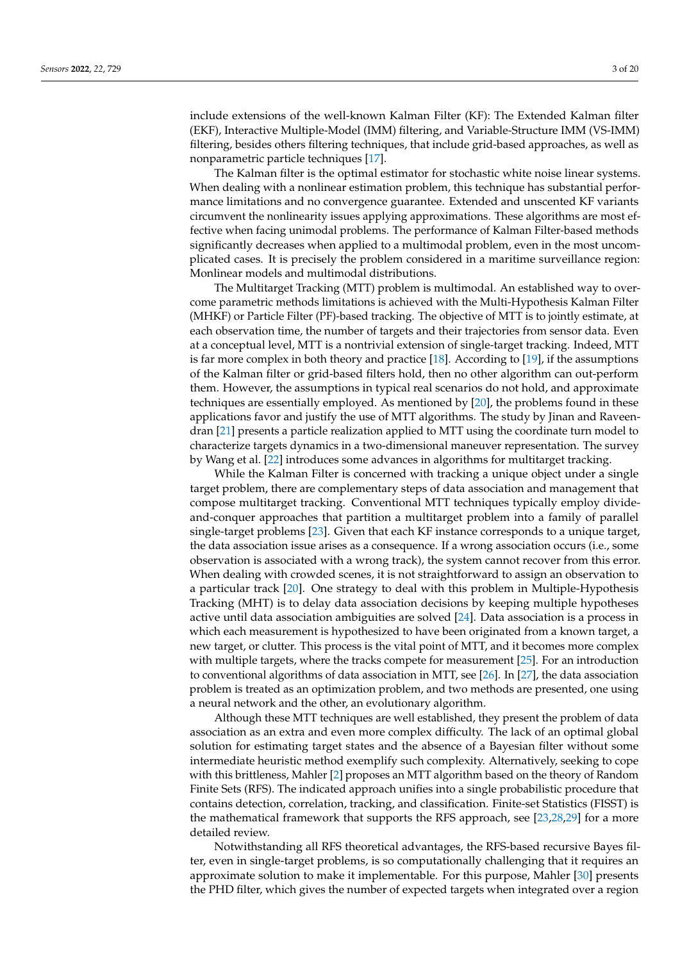include extensions of the well-known Kalman Filter (KF): The Extended Kalman filter (EKF), Interactive Multiple-Model (IMM) filtering, and Variable-Structure IMM (VS-IMM) filtering, besides others filtering techniques, that include grid-based approaches, as well as nonparametric particle techniques [\[17\]](#page-18-9).

The Kalman filter is the optimal estimator for stochastic white noise linear systems. When dealing with a nonlinear estimation problem, this technique has substantial performance limitations and no convergence guarantee. Extended and unscented KF variants circumvent the nonlinearity issues applying approximations. These algorithms are most effective when facing unimodal problems. The performance of Kalman Filter-based methods significantly decreases when applied to a multimodal problem, even in the most uncomplicated cases. It is precisely the problem considered in a maritime surveillance region: Monlinear models and multimodal distributions.

The Multitarget Tracking (MTT) problem is multimodal. An established way to overcome parametric methods limitations is achieved with the Multi-Hypothesis Kalman Filter (MHKF) or Particle Filter (PF)-based tracking. The objective of MTT is to jointly estimate, at each observation time, the number of targets and their trajectories from sensor data. Even at a conceptual level, MTT is a nontrivial extension of single-target tracking. Indeed, MTT is far more complex in both theory and practice [\[18\]](#page-18-10). According to [\[19\]](#page-18-11), if the assumptions of the Kalman filter or grid-based filters hold, then no other algorithm can out-perform them. However, the assumptions in typical real scenarios do not hold, and approximate techniques are essentially employed. As mentioned by [\[20\]](#page-18-12), the problems found in these applications favor and justify the use of MTT algorithms. The study by Jinan and Raveendran [\[21\]](#page-18-13) presents a particle realization applied to MTT using the coordinate turn model to characterize targets dynamics in a two-dimensional maneuver representation. The survey by Wang et al. [\[22\]](#page-18-14) introduces some advances in algorithms for multitarget tracking.

While the Kalman Filter is concerned with tracking a unique object under a single target problem, there are complementary steps of data association and management that compose multitarget tracking. Conventional MTT techniques typically employ divideand-conquer approaches that partition a multitarget problem into a family of parallel single-target problems [\[23\]](#page-18-15). Given that each KF instance corresponds to a unique target, the data association issue arises as a consequence. If a wrong association occurs (i.e., some observation is associated with a wrong track), the system cannot recover from this error. When dealing with crowded scenes, it is not straightforward to assign an observation to a particular track [\[20\]](#page-18-12). One strategy to deal with this problem in Multiple-Hypothesis Tracking (MHT) is to delay data association decisions by keeping multiple hypotheses active until data association ambiguities are solved [\[24\]](#page-18-16). Data association is a process in which each measurement is hypothesized to have been originated from a known target, a new target, or clutter. This process is the vital point of MTT, and it becomes more complex with multiple targets, where the tracks compete for measurement [\[25\]](#page-18-17). For an introduction to conventional algorithms of data association in MTT, see [\[26\]](#page-18-18). In [\[27\]](#page-18-19), the data association problem is treated as an optimization problem, and two methods are presented, one using a neural network and the other, an evolutionary algorithm.

Although these MTT techniques are well established, they present the problem of data association as an extra and even more complex difficulty. The lack of an optimal global solution for estimating target states and the absence of a Bayesian filter without some intermediate heuristic method exemplify such complexity. Alternatively, seeking to cope with this brittleness, Mahler [\[2\]](#page-17-1) proposes an MTT algorithm based on the theory of Random Finite Sets (RFS). The indicated approach unifies into a single probabilistic procedure that contains detection, correlation, tracking, and classification. Finite-set Statistics (FISST) is the mathematical framework that supports the RFS approach, see [\[23](#page-18-15)[,28,](#page-18-20)[29\]](#page-18-21) for a more detailed review.

Notwithstanding all RFS theoretical advantages, the RFS-based recursive Bayes filter, even in single-target problems, is so computationally challenging that it requires an approximate solution to make it implementable. For this purpose, Mahler [\[30\]](#page-18-22) presents the PHD filter, which gives the number of expected targets when integrated over a region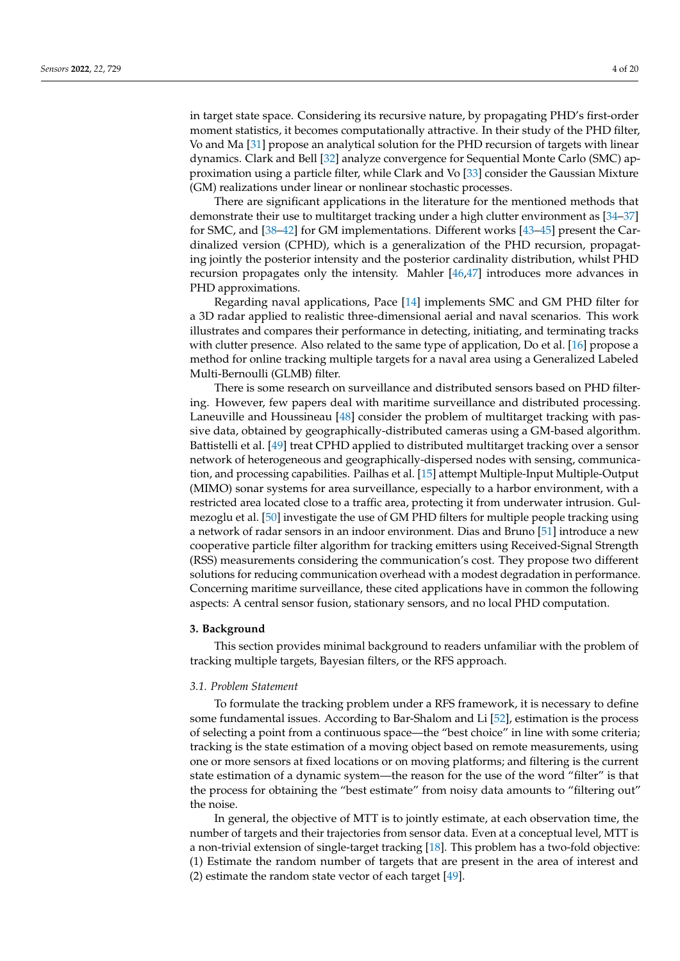in target state space. Considering its recursive nature, by propagating PHD's first-order moment statistics, it becomes computationally attractive. In their study of the PHD filter, Vo and Ma [\[31\]](#page-18-23) propose an analytical solution for the PHD recursion of targets with linear dynamics. Clark and Bell [\[32\]](#page-18-24) analyze convergence for Sequential Monte Carlo (SMC) approximation using a particle filter, while Clark and Vo [\[33\]](#page-18-25) consider the Gaussian Mixture (GM) realizations under linear or nonlinear stochastic processes.

There are significant applications in the literature for the mentioned methods that demonstrate their use to multitarget tracking under a high clutter environment as [\[34](#page-18-26)[–37\]](#page-19-0) for SMC, and [\[38–](#page-19-1)[42\]](#page-19-2) for GM implementations. Different works [\[43–](#page-19-3)[45\]](#page-19-4) present the Cardinalized version (CPHD), which is a generalization of the PHD recursion, propagating jointly the posterior intensity and the posterior cardinality distribution, whilst PHD recursion propagates only the intensity. Mahler [\[46,](#page-19-5)[47\]](#page-19-6) introduces more advances in PHD approximations.

Regarding naval applications, Pace [\[14\]](#page-18-7) implements SMC and GM PHD filter for a 3D radar applied to realistic three-dimensional aerial and naval scenarios. This work illustrates and compares their performance in detecting, initiating, and terminating tracks with clutter presence. Also related to the same type of application, Do et al. [\[16\]](#page-18-8) propose a method for online tracking multiple targets for a naval area using a Generalized Labeled Multi-Bernoulli (GLMB) filter.

There is some research on surveillance and distributed sensors based on PHD filtering. However, few papers deal with maritime surveillance and distributed processing. Laneuville and Houssineau [\[48\]](#page-19-7) consider the problem of multitarget tracking with passive data, obtained by geographically-distributed cameras using a GM-based algorithm. Battistelli et al. [\[49\]](#page-19-8) treat CPHD applied to distributed multitarget tracking over a sensor network of heterogeneous and geographically-dispersed nodes with sensing, communication, and processing capabilities. Pailhas et al. [\[15\]](#page-18-27) attempt Multiple-Input Multiple-Output (MIMO) sonar systems for area surveillance, especially to a harbor environment, with a restricted area located close to a traffic area, protecting it from underwater intrusion. Gulmezoglu et al. [\[50\]](#page-19-9) investigate the use of GM PHD filters for multiple people tracking using a network of radar sensors in an indoor environment. Dias and Bruno [\[51\]](#page-19-10) introduce a new cooperative particle filter algorithm for tracking emitters using Received-Signal Strength (RSS) measurements considering the communication's cost. They propose two different solutions for reducing communication overhead with a modest degradation in performance. Concerning maritime surveillance, these cited applications have in common the following aspects: A central sensor fusion, stationary sensors, and no local PHD computation.

#### <span id="page-3-0"></span>**3. Background**

This section provides minimal background to readers unfamiliar with the problem of tracking multiple targets, Bayesian filters, or the RFS approach.

# *3.1. Problem Statement*

To formulate the tracking problem under a RFS framework, it is necessary to define some fundamental issues. According to Bar-Shalom and Li [\[52\]](#page-19-11), estimation is the process of selecting a point from a continuous space—the "best choice" in line with some criteria; tracking is the state estimation of a moving object based on remote measurements, using one or more sensors at fixed locations or on moving platforms; and filtering is the current state estimation of a dynamic system—the reason for the use of the word "filter" is that the process for obtaining the "best estimate" from noisy data amounts to "filtering out" the noise.

In general, the objective of MTT is to jointly estimate, at each observation time, the number of targets and their trajectories from sensor data. Even at a conceptual level, MTT is a non-trivial extension of single-target tracking [\[18\]](#page-18-10). This problem has a two-fold objective: (1) Estimate the random number of targets that are present in the area of interest and (2) estimate the random state vector of each target [\[49\]](#page-19-8).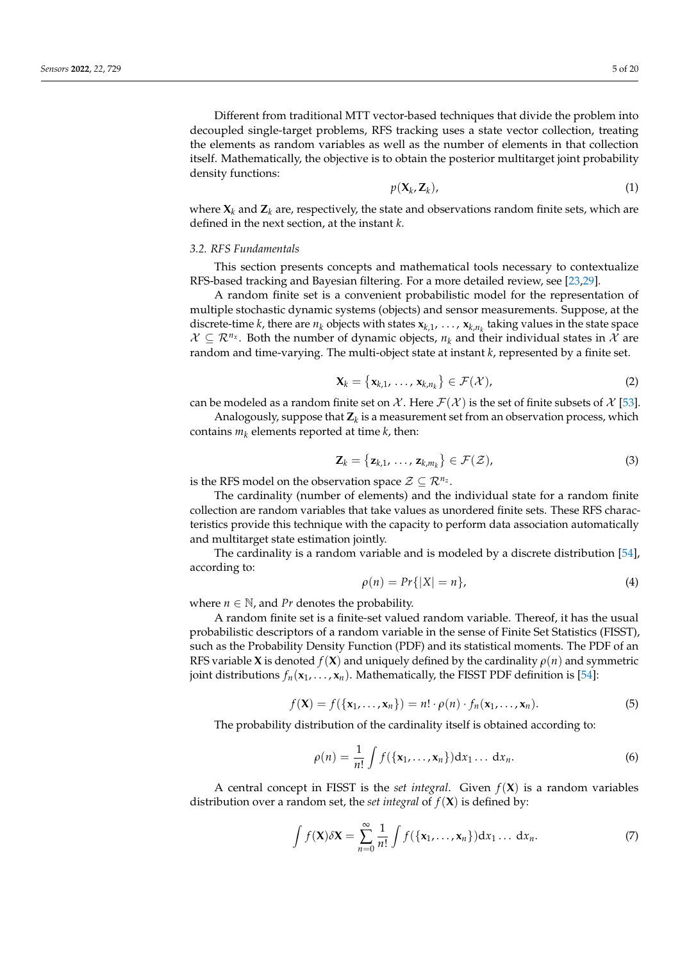Different from traditional MTT vector-based techniques that divide the problem into decoupled single-target problems, RFS tracking uses a state vector collection, treating the elements as random variables as well as the number of elements in that collection itself. Mathematically, the objective is to obtain the posterior multitarget joint probability density functions:

$$
(\mathbf{X}_k, \mathbf{Z}_k), \tag{1}
$$

where  $X_k$  and  $Z_k$  are, respectively, the state and observations random finite sets, which are defined in the next section, at the instant *k*.

*p*(**X***<sup>k</sup>*

#### *3.2. RFS Fundamentals*

This section presents concepts and mathematical tools necessary to contextualize RFS-based tracking and Bayesian filtering. For a more detailed review, see [\[23](#page-18-15)[,29\]](#page-18-21).

A random finite set is a convenient probabilistic model for the representation of multiple stochastic dynamic systems (objects) and sensor measurements. Suppose, at the discrete-time *k*, there are  $n_k$  objects with states  $\mathbf{x}_{k,1}, \ldots, \mathbf{x}_{k,n_k}$  taking values in the state space  $\mathcal{X} \subseteq \mathcal{R}^{n_x}$ . Both the number of dynamic objects,  $n_k$  and their individual states in  $\mathcal{X}$  are random and time-varying. The multi-object state at instant *k*, represented by a finite set.

$$
\mathbf{X}_k = \left\{ \mathbf{x}_{k,1}, \dots, \mathbf{x}_{k,n_k} \right\} \in \mathcal{F}(\mathcal{X}), \tag{2}
$$

can be modeled as a random finite set on X. Here  $\mathcal{F}(\mathcal{X})$  is the set of finite subsets of X [\[53\]](#page-19-12).

Analogously, suppose that **Z***<sup>k</sup>* is a measurement set from an observation process, which contains  $m_k$  elements reported at time  $k$ , then:

$$
\mathbf{Z}_k = \left\{ \mathbf{z}_{k,1}, \ldots, \mathbf{z}_{k,m_k} \right\} \in \mathcal{F}(\mathcal{Z}), \tag{3}
$$

is the RFS model on the observation space  $\mathcal{Z} \subseteq \mathcal{R}^{n_z}$ .

The cardinality (number of elements) and the individual state for a random finite collection are random variables that take values as unordered finite sets. These RFS characteristics provide this technique with the capacity to perform data association automatically and multitarget state estimation jointly.

The cardinality is a random variable and is modeled by a discrete distribution [\[54\]](#page-19-13), according to:

$$
\rho(n) = Pr\{|X| = n\},\tag{4}
$$

where  $n \in \mathbb{N}$ , and *Pr* denotes the probability.

A random finite set is a finite-set valued random variable. Thereof, it has the usual probabilistic descriptors of a random variable in the sense of Finite Set Statistics (FISST), such as the Probability Density Function (PDF) and its statistical moments. The PDF of an RFS variable **X** is denoted  $f(\mathbf{X})$  and uniquely defined by the cardinality  $\rho(n)$  and symmetric joint distributions  $f_n(\mathbf{x}_1, \dots, \mathbf{x}_n)$ . Mathematically, the FISST PDF definition is [\[54\]](#page-19-13):

$$
f(\mathbf{X}) = f(\{\mathbf{x}_1, \dots, \mathbf{x}_n\}) = n! \cdot \rho(n) \cdot f_n(\mathbf{x}_1, \dots, \mathbf{x}_n).
$$
 (5)

The probability distribution of the cardinality itself is obtained according to:

$$
\rho(n) = \frac{1}{n!} \int f(\{\mathbf{x}_1, \dots, \mathbf{x}_n\}) \mathrm{d}x_1 \dots \mathrm{d}x_n. \tag{6}
$$

A central concept in FISST is the *set integral*. Given  $f(X)$  is a random variables distribution over a random set, the *set integral* of  $f(\mathbf{X})$  is defined by:

$$
\int f(\mathbf{X}) \delta \mathbf{X} = \sum_{n=0}^{\infty} \frac{1}{n!} \int f(\{\mathbf{x}_1, \dots, \mathbf{x}_n\}) d x_1 \dots d x_n.
$$
 (7)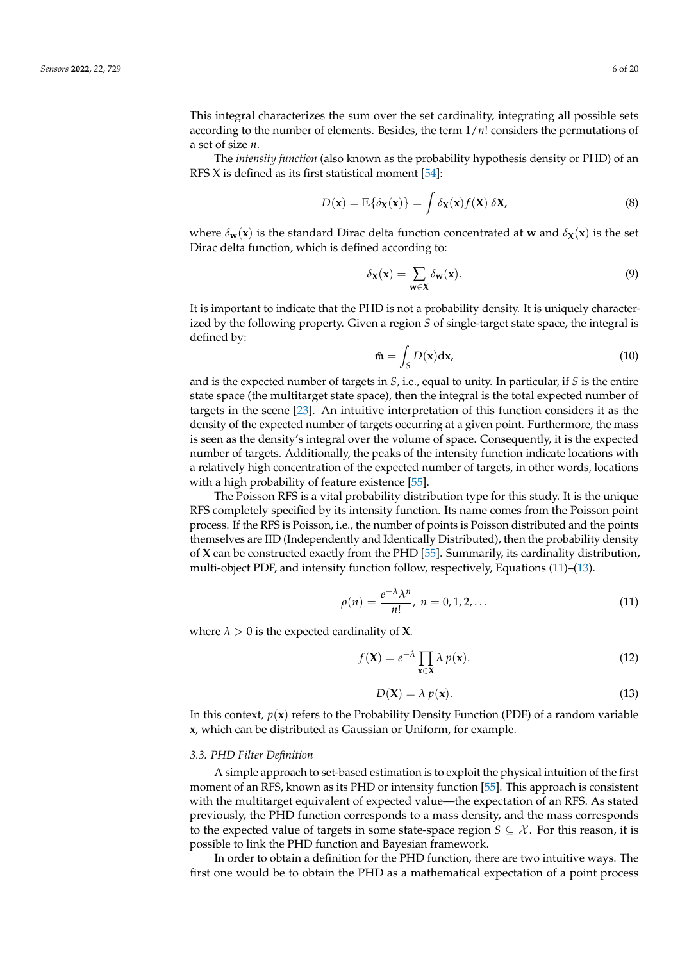This integral characterizes the sum over the set cardinality, integrating all possible sets according to the number of elements. Besides, the term 1/*n*! considers the permutations of a set of size *n*.

The *intensity function* (also known as the probability hypothesis density or PHD) of an RFS X is defined as its first statistical moment  $[54]$ :

<span id="page-5-2"></span>
$$
D(\mathbf{x}) = \mathbb{E}\{\delta_{\mathbf{X}}(\mathbf{x})\} = \int \delta_{\mathbf{X}}(\mathbf{x}) f(\mathbf{X}) \, \delta \mathbf{X},\tag{8}
$$

where  $\delta_{\bf w}({\bf x})$  is the standard Dirac delta function concentrated at **w** and  $\delta_{\bf X}({\bf x})$  is the set Dirac delta function, which is defined according to:

$$
\delta_{\mathbf{X}}(\mathbf{x}) = \sum_{\mathbf{w} \in \mathbf{X}} \delta_{\mathbf{w}}(\mathbf{x}).\tag{9}
$$

It is important to indicate that the PHD is not a probability density. It is uniquely characterized by the following property. Given a region *S* of single-target state space, the integral is defined by:

$$
\hat{\mathfrak{m}} = \int_{S} D(\mathbf{x}) \mathrm{d}\mathbf{x},\tag{10}
$$

and is the expected number of targets in *S*, i.e., equal to unity. In particular, if *S* is the entire state space (the multitarget state space), then the integral is the total expected number of targets in the scene [\[23\]](#page-18-15). An intuitive interpretation of this function considers it as the density of the expected number of targets occurring at a given point. Furthermore, the mass is seen as the density's integral over the volume of space. Consequently, it is the expected number of targets. Additionally, the peaks of the intensity function indicate locations with a relatively high concentration of the expected number of targets, in other words, locations with a high probability of feature existence [\[55\]](#page-19-14).

The Poisson RFS is a vital probability distribution type for this study. It is the unique RFS completely specified by its intensity function. Its name comes from the Poisson point process. If the RFS is Poisson, i.e., the number of points is Poisson distributed and the points themselves are IID (Independently and Identically Distributed), then the probability density of **X** can be constructed exactly from the PHD [\[55\]](#page-19-14). Summarily, its cardinality distribution, multi-object PDF, and intensity function follow, respectively, Equations [\(11\)](#page-5-0)–[\(13\)](#page-5-1).

<span id="page-5-0"></span>
$$
\rho(n) = \frac{e^{-\lambda}\lambda^n}{n!}, \ n = 0, 1, 2, \dots \tag{11}
$$

where  $\lambda > 0$  is the expected cardinality of **X**.

$$
f(\mathbf{X}) = e^{-\lambda} \prod_{\mathbf{x} \in \mathbf{X}} \lambda \, p(\mathbf{x}).\tag{12}
$$

<span id="page-5-1"></span>
$$
D(\mathbf{X}) = \lambda \ p(\mathbf{x}). \tag{13}
$$

In this context,  $p(x)$  refers to the Probability Density Function (PDF) of a random variable **x**, which can be distributed as Gaussian or Uniform, for example.

#### *3.3. PHD Filter Definition*

A simple approach to set-based estimation is to exploit the physical intuition of the first moment of an RFS, known as its PHD or intensity function [\[55\]](#page-19-14). This approach is consistent with the multitarget equivalent of expected value—the expectation of an RFS. As stated previously, the PHD function corresponds to a mass density, and the mass corresponds to the expected value of targets in some state-space region  $S \subseteq \mathcal{X}$ . For this reason, it is possible to link the PHD function and Bayesian framework.

In order to obtain a definition for the PHD function, there are two intuitive ways. The first one would be to obtain the PHD as a mathematical expectation of a point process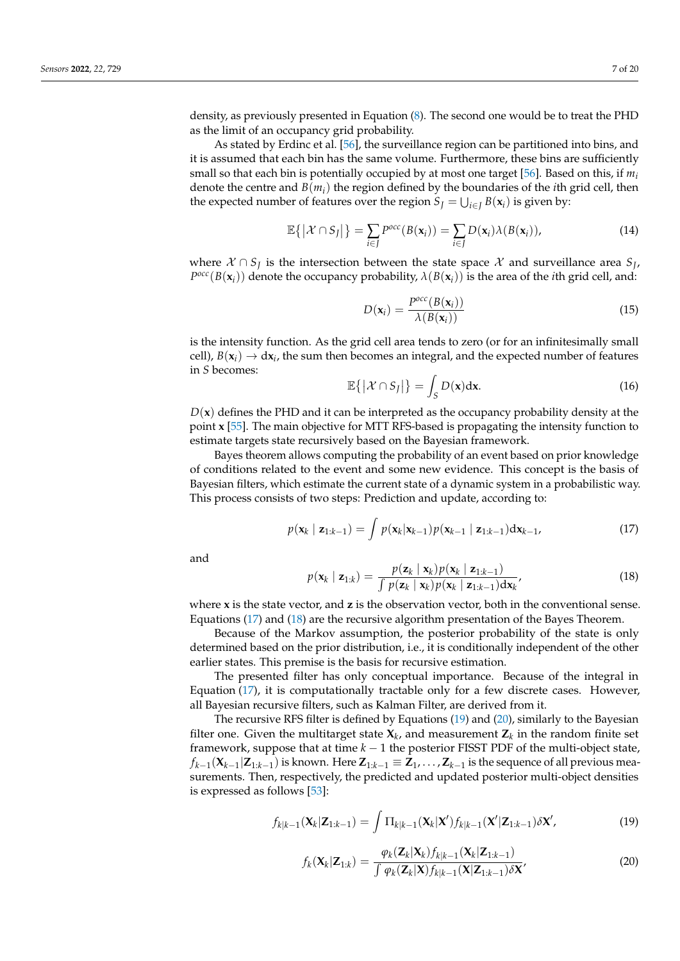density, as previously presented in Equation [\(8\)](#page-5-2). The second one would be to treat the PHD as the limit of an occupancy grid probability.

As stated by Erdinc et al. [\[56\]](#page-19-15), the surveillance region can be partitioned into bins, and it is assumed that each bin has the same volume. Furthermore, these bins are sufficiently small so that each bin is potentially occupied by at most one target [\[56\]](#page-19-15). Based on this, if  $m_i$ denote the centre and *B*(*mi*) the region defined by the boundaries of the *i*th grid cell, then the expected number of features over the region  $S_J = \bigcup_{i \in J} B(\mathbf{x}_i)$  is given by:

$$
\mathbb{E}\left\{ \left| \mathcal{X} \cap S_J \right| \right\} = \sum_{i \in J} P^{occ}(B(\mathbf{x}_i)) = \sum_{i \in J} D(\mathbf{x}_i) \lambda(B(\mathbf{x}_i)), \tag{14}
$$

where  $X \cap S_j$  is the intersection between the state space  $X$  and surveillance area  $S_j$ ,  $P^{occ}(B(\mathbf{x}_i))$  denote the occupancy probability,  $\lambda(B(\mathbf{x}_i))$  is the area of the *i*th grid cell, and:

$$
D(\mathbf{x}_i) = \frac{P^{occ}(B(\mathbf{x}_i))}{\lambda(B(\mathbf{x}_i))}
$$
(15)

is the intensity function. As the grid cell area tends to zero (or for an infinitesimally small cell),  $B(\mathbf{x}_i) \to d\mathbf{x}_i$ , the sum then becomes an integral, and the expected number of features in *S* becomes:

$$
\mathbb{E}\left\{ \left| \mathcal{X} \cap S_J \right| \right\} = \int_S D(\mathbf{x}) \mathrm{d}\mathbf{x}.\tag{16}
$$

 $D(x)$  defines the PHD and it can be interpreted as the occupancy probability density at the point **x** [\[55\]](#page-19-14). The main objective for MTT RFS-based is propagating the intensity function to estimate targets state recursively based on the Bayesian framework.

Bayes theorem allows computing the probability of an event based on prior knowledge of conditions related to the event and some new evidence. This concept is the basis of Bayesian filters, which estimate the current state of a dynamic system in a probabilistic way. This process consists of two steps: Prediction and update, according to:

<span id="page-6-0"></span>
$$
p(\mathbf{x}_{k} | \mathbf{z}_{1:k-1}) = \int p(\mathbf{x}_{k} | \mathbf{x}_{k-1}) p(\mathbf{x}_{k-1} | \mathbf{z}_{1:k-1}) d \mathbf{x}_{k-1},
$$
\n(17)

and

<span id="page-6-1"></span>
$$
p(\mathbf{x}_k \mid \mathbf{z}_{1:k}) = \frac{p(\mathbf{z}_k \mid \mathbf{x}_k)p(\mathbf{x}_k \mid \mathbf{z}_{1:k-1})}{\int p(\mathbf{z}_k \mid \mathbf{x}_k)p(\mathbf{x}_k \mid \mathbf{z}_{1:k-1})d\mathbf{x}_k},
$$
\n(18)

where **x** is the state vector, and **z** is the observation vector, both in the conventional sense. Equations [\(17\)](#page-6-0) and [\(18\)](#page-6-1) are the recursive algorithm presentation of the Bayes Theorem.

Because of the Markov assumption, the posterior probability of the state is only determined based on the prior distribution, i.e., it is conditionally independent of the other earlier states. This premise is the basis for recursive estimation.

The presented filter has only conceptual importance. Because of the integral in Equation [\(17\)](#page-6-0), it is computationally tractable only for a few discrete cases. However, all Bayesian recursive filters, such as Kalman Filter, are derived from it.

The recursive RFS filter is defined by Equations [\(19\)](#page-6-2) and [\(20\)](#page-6-3), similarly to the Bayesian filter one. Given the multitarget state  $\mathbf{X}_k$ , and measurement  $\mathbf{Z}_k$  in the random finite set framework, suppose that at time *k* − 1 the posterior FISST PDF of the multi-object state,  $f_{k-1}(\mathbf{X}_{k-1}|\mathbf{Z}_{1:k-1})$  is known. Here  $\mathbf{Z}_{1:k-1}\equiv \mathbf{Z}_1,\ldots,\mathbf{Z}_{k-1}$  is the sequence of all previous measurements. Then, respectively, the predicted and updated posterior multi-object densities is expressed as follows [\[53\]](#page-19-12):

<span id="page-6-2"></span>
$$
f_{k|k-1}(\mathbf{X}_k|\mathbf{Z}_{1:k-1}) = \int \Pi_{k|k-1}(\mathbf{X}_k|\mathbf{X}') f_{k|k-1}(\mathbf{X}'|\mathbf{Z}_{1:k-1}) \delta \mathbf{X}',\tag{19}
$$

<span id="page-6-3"></span>
$$
f_k(\mathbf{X}_k|\mathbf{Z}_{1:k}) = \frac{\varphi_k(\mathbf{Z}_k|\mathbf{X}_k)f_{k|k-1}(\mathbf{X}_k|\mathbf{Z}_{1:k-1})}{\int \varphi_k(\mathbf{Z}_k|\mathbf{X})f_{k|k-1}(\mathbf{X}|\mathbf{Z}_{1:k-1})\delta\mathbf{X}},\tag{20}
$$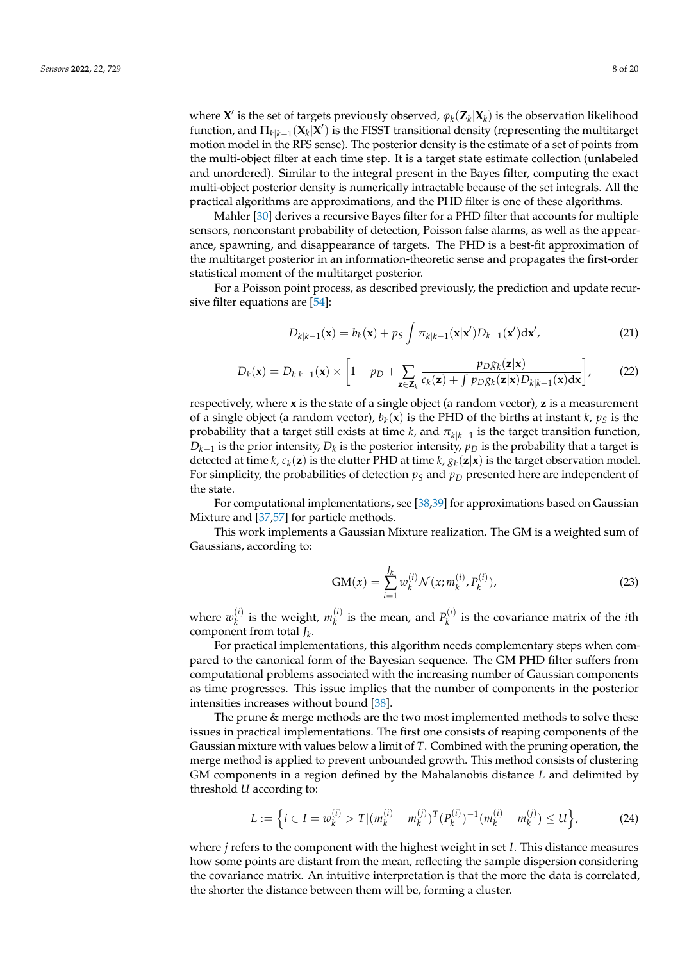where  $\mathbf{X}'$  is the set of targets previously observed,  $\varphi_k(\mathbf{Z}_k|\mathbf{X}_k)$  is the observation likelihood function, and  $\Pi_{k|k-1}(\mathbf{X}_k|\mathbf{X}')$  is the FISST transitional density (representing the multitarget motion model in the RFS sense). The posterior density is the estimate of a set of points from the multi-object filter at each time step. It is a target state estimate collection (unlabeled and unordered). Similar to the integral present in the Bayes filter, computing the exact multi-object posterior density is numerically intractable because of the set integrals. All the practical algorithms are approximations, and the PHD filter is one of these algorithms.

Mahler [\[30\]](#page-18-22) derives a recursive Bayes filter for a PHD filter that accounts for multiple sensors, nonconstant probability of detection, Poisson false alarms, as well as the appearance, spawning, and disappearance of targets. The PHD is a best-fit approximation of the multitarget posterior in an information-theoretic sense and propagates the first-order statistical moment of the multitarget posterior.

For a Poisson point process, as described previously, the prediction and update recursive filter equations are [\[54\]](#page-19-13):

<span id="page-7-0"></span>
$$
D_{k|k-1}(\mathbf{x}) = b_k(\mathbf{x}) + p_S \int \pi_{k|k-1}(\mathbf{x}|\mathbf{x}') D_{k-1}(\mathbf{x}') d\mathbf{x}',\tag{21}
$$

<span id="page-7-1"></span>
$$
D_k(\mathbf{x}) = D_{k|k-1}(\mathbf{x}) \times \left[1 - p_D + \sum_{\mathbf{z} \in \mathbf{Z}_k} \frac{p_{D}g_k(\mathbf{z}|\mathbf{x})}{c_k(\mathbf{z}) + \int p_{D}g_k(\mathbf{z}|\mathbf{x}) D_{k|k-1}(\mathbf{x}) d\mathbf{x}}\right],
$$
 (22)

respectively, where **x** is the state of a single object (a random vector), **z** is a measurement of a single object (a random vector),  $b_k(x)$  is the PHD of the births at instant *k*,  $p_S$  is the probability that a target still exists at time *k*, and *πk*|*k*−<sup>1</sup> is the target transition function,  $D_{k-1}$  is the prior intensity,  $D_k$  is the posterior intensity,  $p_D$  is the probability that a target is detected at time  $k$ ,  $c_k(z)$  is the clutter PHD at time  $k$ ,  $g_k(z|x)$  is the target observation model. For simplicity, the probabilities of detection  $p<sub>S</sub>$  and  $p<sub>D</sub>$  presented here are independent of the state.

For computational implementations, see [\[38,](#page-19-1)[39\]](#page-19-16) for approximations based on Gaussian Mixture and [\[37](#page-19-0)[,57\]](#page-19-17) for particle methods.

This work implements a Gaussian Mixture realization. The GM is a weighted sum of Gaussians, according to:

$$
GM(x) = \sum_{i=1}^{J_k} w_k^{(i)} \mathcal{N}(x; m_k^{(i)}, P_k^{(i)}),
$$
\n(23)

where  $w_k^{(i)}$  $\binom{i}{k}$  is the weight,  $m_k^{(i)}$  $\binom{i}{k}$  is the mean, and  $P_k^{(i)}$  $\chi_k^{(1)}$  is the covariance matrix of the *i*th component from total *J<sup>k</sup>* .

For practical implementations, this algorithm needs complementary steps when compared to the canonical form of the Bayesian sequence. The GM PHD filter suffers from computational problems associated with the increasing number of Gaussian components as time progresses. This issue implies that the number of components in the posterior intensities increases without bound [\[38\]](#page-19-1).

The prune & merge methods are the two most implemented methods to solve these issues in practical implementations. The first one consists of reaping components of the Gaussian mixture with values below a limit of *T*. Combined with the pruning operation, the merge method is applied to prevent unbounded growth. This method consists of clustering GM components in a region defined by the Mahalanobis distance *L* and delimited by threshold *U* according to:

<span id="page-7-2"></span>
$$
L := \left\{ i \in I = w_k^{(i)} > T | (m_k^{(i)} - m_k^{(j)})^T (P_k^{(i)})^{-1} (m_k^{(i)} - m_k^{(j)}) \le U \right\},\tag{24}
$$

where *j* refers to the component with the highest weight in set *I*. This distance measures how some points are distant from the mean, reflecting the sample dispersion considering the covariance matrix. An intuitive interpretation is that the more the data is correlated, the shorter the distance between them will be, forming a cluster.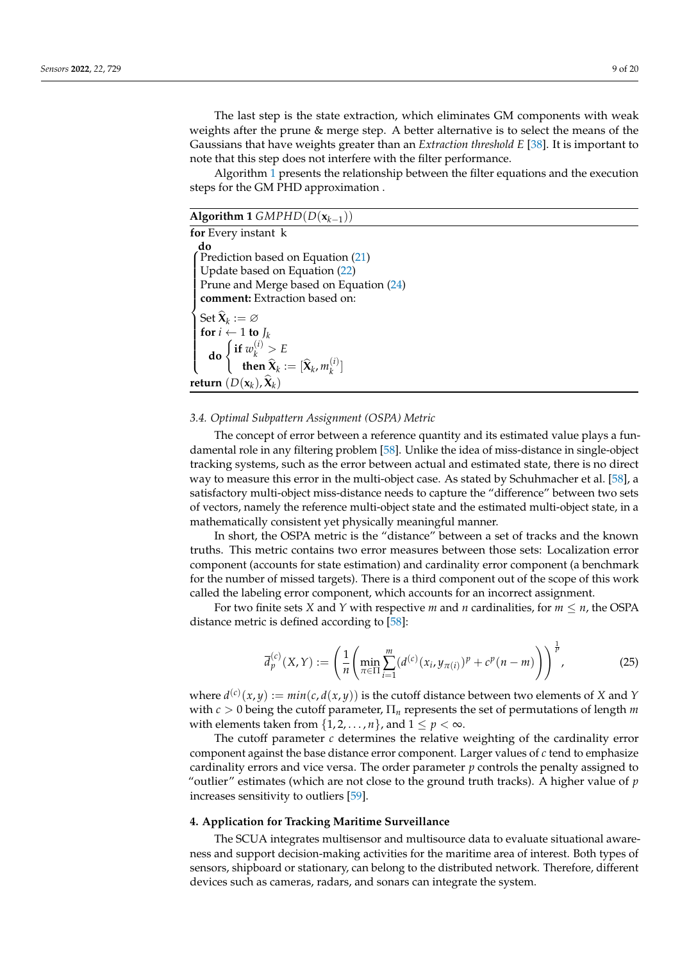The last step is the state extraction, which eliminates GM components with weak weights after the prune & merge step. A better alternative is to select the means of the Gaussians that have weights greater than an *Extraction threshold E* [\[38\]](#page-19-1). It is important to note that this step does not interfere with the filter performance.

Algorithm [1](#page-8-1) presents the relationship between the filter equations and the execution steps for the GM PHD approximation .

<span id="page-8-1"></span>

| Algorithm 1 $GMPHD(D(\mathbf{x}_{k-1}))$                                                                                                                                                                                                                                               |
|----------------------------------------------------------------------------------------------------------------------------------------------------------------------------------------------------------------------------------------------------------------------------------------|
| for Every instant k                                                                                                                                                                                                                                                                    |
| do<br>$\int$ Prediction based on Equation (21)<br>Update based on Equation (22)                                                                                                                                                                                                        |
| Prune and Merge based on Equation (24)<br>comment: Extraction based on:                                                                                                                                                                                                                |
| Set $\widehat{\mathbf{X}}_k := \varnothing$<br>for $i \leftarrow 1$ to $J_k$<br><b>do</b> $\begin{cases} \textbf{if } w_k^{(i)} > E \\ \textbf{then } \widehat{\mathbf{X}}_k := [\widehat{\mathbf{X}}_k, m_k^{(i)}] \end{cases}$<br>return $(D(\mathbf{x}_k), \widehat{\mathbf{X}}_k)$ |

#### *3.4. Optimal Subpattern Assignment (OSPA) Metric*

The concept of error between a reference quantity and its estimated value plays a fundamental role in any filtering problem [\[58\]](#page-19-18). Unlike the idea of miss-distance in single-object tracking systems, such as the error between actual and estimated state, there is no direct way to measure this error in the multi-object case. As stated by Schuhmacher et al. [\[58\]](#page-19-18), a satisfactory multi-object miss-distance needs to capture the "difference" between two sets of vectors, namely the reference multi-object state and the estimated multi-object state, in a mathematically consistent yet physically meaningful manner.

In short, the OSPA metric is the "distance" between a set of tracks and the known truths. This metric contains two error measures between those sets: Localization error component (accounts for state estimation) and cardinality error component (a benchmark for the number of missed targets). There is a third component out of the scope of this work called the labeling error component, which accounts for an incorrect assignment.

For two finite sets *X* and *Y* with respective *m* and *n* cardinalities, for  $m \le n$ , the OSPA distance metric is defined according to [\[58\]](#page-19-18):

$$
\overline{d}_{p}^{(c)}(X,Y) := \left(\frac{1}{n} \left(\min_{\pi \in \Pi} \sum_{i=1}^{m} (d^{(c)}(x_{i}, y_{\pi(i)})^{p} + c^{p}(n-m)\right)\right)^{\frac{1}{p}},
$$
\n(25)

where  $d^{(c)}(x,y) := min(c, d(x,y))$  is the cutoff distance between two elements of *X* and *Y* with  $c > 0$  being the cutoff parameter,  $\Pi_n$  represents the set of permutations of length m with elements taken from  $\{1, 2, \ldots, n\}$ , and  $1 \leq p < \infty$ .

The cutoff parameter *c* determines the relative weighting of the cardinality error component against the base distance error component. Larger values of *c* tend to emphasize cardinality errors and vice versa. The order parameter *p* controls the penalty assigned to "outlier" estimates (which are not close to the ground truth tracks). A higher value of *p* increases sensitivity to outliers [\[59\]](#page-19-19).

#### <span id="page-8-0"></span>**4. Application for Tracking Maritime Surveillance**

The SCUA integrates multisensor and multisource data to evaluate situational awareness and support decision-making activities for the maritime area of interest. Both types of sensors, shipboard or stationary, can belong to the distributed network. Therefore, different devices such as cameras, radars, and sonars can integrate the system.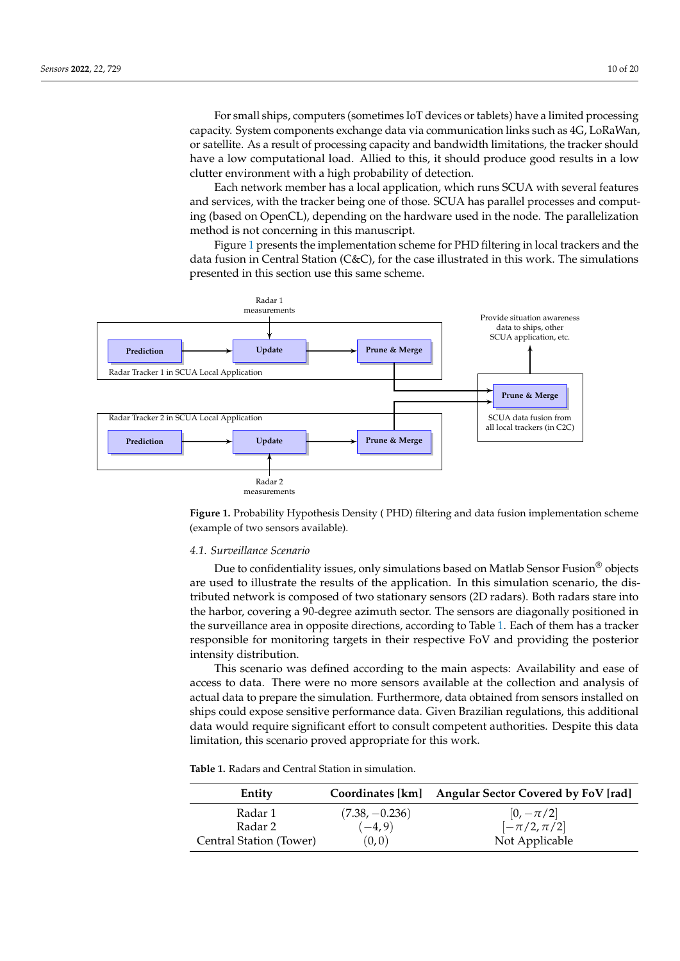For small ships, computers (sometimes IoT devices or tablets) have a limited processing capacity. System components exchange data via communication links such as 4G, LoRaWan, or satellite. As a result of processing capacity and bandwidth limitations, the tracker should have a low computational load. Allied to this, it should produce good results in a low clutter environment with a high probability of detection.

Each network member has a local application, which runs SCUA with several features and services, with the tracker being one of those. SCUA has parallel processes and computing (based on OpenCL), depending on the hardware used in the node. The parallelization method is not concerning in this manuscript.

<span id="page-9-0"></span>Figure [1](#page-9-0) presents the implementation scheme for PHD filtering in local trackers and the data fusion in Central Station (C&C), for the case illustrated in this work. The simulations presented in this section use this same scheme.





#### *4.1. Surveillance Scenario*

Due to confidentiality issues, only simulations based on Matlab Sensor Fusion® objects are used to illustrate the results of the application. In this simulation scenario, the distributed network is composed of two stationary sensors (2D radars). Both radars stare into the harbor, covering a 90-degree azimuth sector. The sensors are diagonally positioned in the surveillance area in opposite directions, according to Table [1.](#page-9-1) Each of them has a tracker responsible for monitoring targets in their respective FoV and providing the posterior intensity distribution.

This scenario was defined according to the main aspects: Availability and ease of access to data. There were no more sensors available at the collection and analysis of actual data to prepare the simulation. Furthermore, data obtained from sensors installed on ships could expose sensitive performance data. Given Brazilian regulations, this additional data would require significant effort to consult competent authorities. Despite this data limitation, this scenario proved appropriate for this work.

<span id="page-9-1"></span>**Table 1.** Radars and Central Station in simulation.

| Entity                  |                  | Coordinates [km] Angular Sector Covered by FoV [rad] |
|-------------------------|------------------|------------------------------------------------------|
| Radar 1                 | $(7.38, -0.236)$ | $[0, -\pi/2]$                                        |
| Radar 2                 | $(-4, 9)$        | $[-\pi/2, \pi/2]$                                    |
| Central Station (Tower) | (0,0)            | Not Applicable                                       |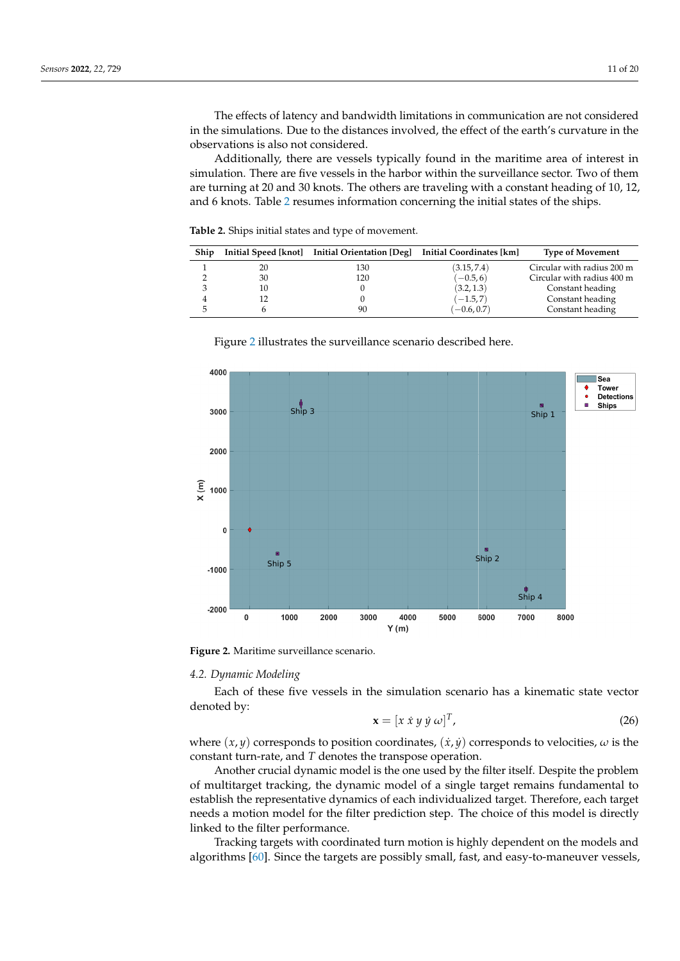The effects of latency and bandwidth limitations in communication are not considered in the simulations. Due to the distances involved, the effect of the earth's curvature in the observations is also not considered.

Additionally, there are vessels typically found in the maritime area of interest in simulation. There are five vessels in the harbor within the surveillance sector. Two of them are turning at 20 and 30 knots. The others are traveling with a constant heading of 10, 12, and 6 knots. Table [2](#page-10-0) resumes information concerning the initial states of the ships.

<span id="page-10-0"></span>**Table 2.** Ships initial states and type of movement.

| Ship |    | Initial Speed [knot] Initial Orientation [Deg] Initial Coordinates [km] |               | <b>Type of Movement</b>    |
|------|----|-------------------------------------------------------------------------|---------------|----------------------------|
|      | 20 | 130                                                                     | (3.15, 7.4)   | Circular with radius 200 m |
|      | 30 | 120                                                                     | $(-0.5, 6)$   | Circular with radius 400 m |
|      | 10 |                                                                         | (3.2, 1.3)    | Constant heading           |
| 4    |    |                                                                         | $(-1.5, 7)$   | Constant heading           |
| ۰,   |    | 90                                                                      | $(-0.6, 0.7)$ | Constant heading           |

<span id="page-10-1"></span>

Figure [2](#page-10-1) illustrates the surveillance scenario described here.

**Figure 2.** Maritime surveillance scenario.

# *4.2. Dynamic Modeling*

Each of these five vessels in the simulation scenario has a kinematic state vector denoted by:

$$
\mathbf{x} = [x \dot{x} y \dot{y} \omega]^T, \tag{26}
$$

where  $(x, y)$  corresponds to position coordinates,  $(\dot{x}, \dot{y})$  corresponds to velocities,  $\omega$  is the constant turn-rate, and *T* denotes the transpose operation.

Another crucial dynamic model is the one used by the filter itself. Despite the problem of multitarget tracking, the dynamic model of a single target remains fundamental to establish the representative dynamics of each individualized target. Therefore, each target needs a motion model for the filter prediction step. The choice of this model is directly linked to the filter performance.

Tracking targets with coordinated turn motion is highly dependent on the models and algorithms [\[60\]](#page-19-20). Since the targets are possibly small, fast, and easy-to-maneuver vessels,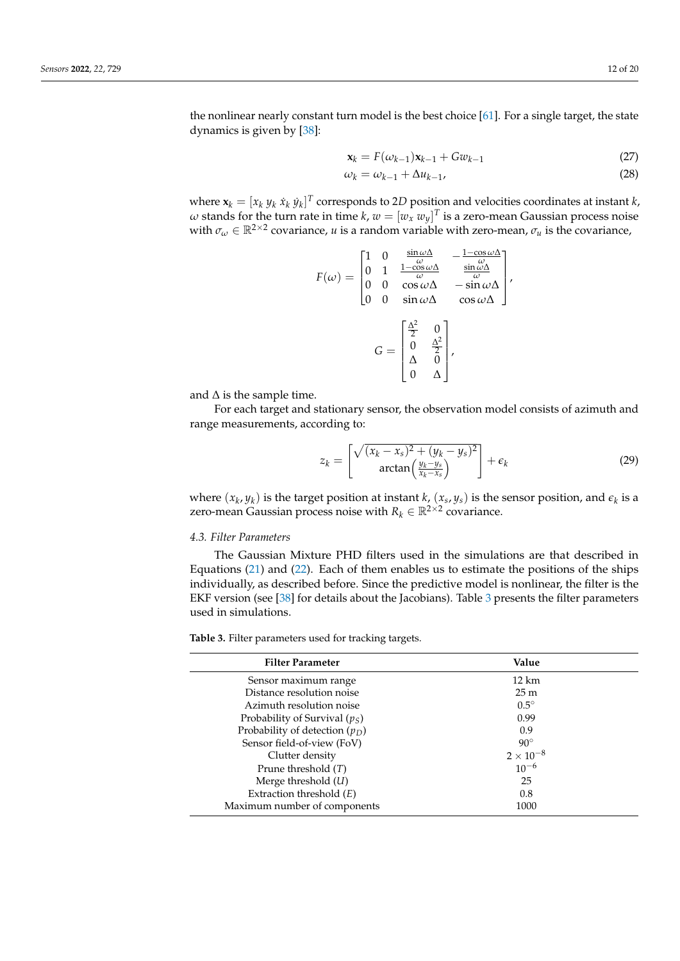the nonlinear nearly constant turn model is the best choice [\[61\]](#page-19-21). For a single target, the state dynamics is given by [\[38\]](#page-19-1):

$$
\mathbf{x}_k = F(\omega_{k-1})\mathbf{x}_{k-1} + G\omega_{k-1} \tag{27}
$$

$$
\omega_k = \omega_{k-1} + \Delta u_{k-1},\tag{28}
$$

where  $\mathbf{x}_k = [x_k \ y_k \ x_k \ y_k]^T$  corresponds to 2*D* position and velocities coordinates at instant *k*,  $\omega$  stands for the turn rate in time  $k$ ,  $w=[w_x \ w_y]^T$  is a zero-mean Gaussian process noise with  $\sigma_\omega \in \mathbb{R}^{2 \times 2}$  covariance, *u* is a random variable with zero-mean,  $\sigma_u$  is the covariance,

$$
F(\omega) = \begin{bmatrix} 1 & 0 & \frac{\sin \omega \Delta}{\omega} & -\frac{1 - \cos \omega \Delta}{\omega} \\ 0 & 1 & \frac{1 - \cos \omega \Delta}{\omega} & \frac{\sin \omega \Delta}{\omega} \\ 0 & 0 & \cos \omega \Delta & -\sin \omega \Delta \\ 0 & 0 & \sin \omega \Delta & \cos \omega \Delta \end{bmatrix},
$$

$$
G = \begin{bmatrix} \frac{\Delta^2}{2} & 0 \\ 0 & \frac{\Delta^2}{2} \\ \Delta & 0 \\ 0 & \Delta \end{bmatrix},
$$

and  $\Delta$  is the sample time.

For each target and stationary sensor, the observation model consists of azimuth and range measurements, according to:

$$
z_k = \begin{bmatrix} \sqrt{(x_k - x_s)^2 + (y_k - y_s)^2} \\ arctan\left(\frac{y_k - y_s}{x_k - x_s}\right) \end{bmatrix} + \epsilon_k
$$
 (29)

where  $(x_k, y_k)$  is the target position at instant *k*,  $(x_s, y_s)$  is the sensor position, and  $\epsilon_k$  is a zero-mean Gaussian process noise with  $R_k \in \mathbb{R}^{2 \times 2}$  covariance.

# *4.3. Filter Parameters*

The Gaussian Mixture PHD filters used in the simulations are that described in Equations [\(21\)](#page-7-0) and [\(22\)](#page-7-1). Each of them enables us to estimate the positions of the ships individually, as described before. Since the predictive model is nonlinear, the filter is the EKF version (see [\[38\]](#page-19-1) for details about the Jacobians). Table [3](#page-11-0) presents the filter parameters used in simulations.

<span id="page-11-0"></span>**Table 3.** Filter parameters used for tracking targets.

| <b>Filter Parameter</b>          | Value            |
|----------------------------------|------------------|
| Sensor maximum range             | $12 \text{ km}$  |
| Distance resolution noise        | 25m              |
| Azimuth resolution noise         | $0.5^\circ$      |
| Probability of Survival $(p_S)$  | 0.99             |
| Probability of detection $(p_D)$ | 0.9              |
| Sensor field-of-view (FoV)       | $90^\circ$       |
| Clutter density                  | $2\times10^{-8}$ |
| Prune threshold $(T)$            | $10^{-6}$        |
| Merge threshold $(U)$            | 25               |
| Extraction threshold $(E)$       | 0.8              |
| Maximum number of components     | 1000             |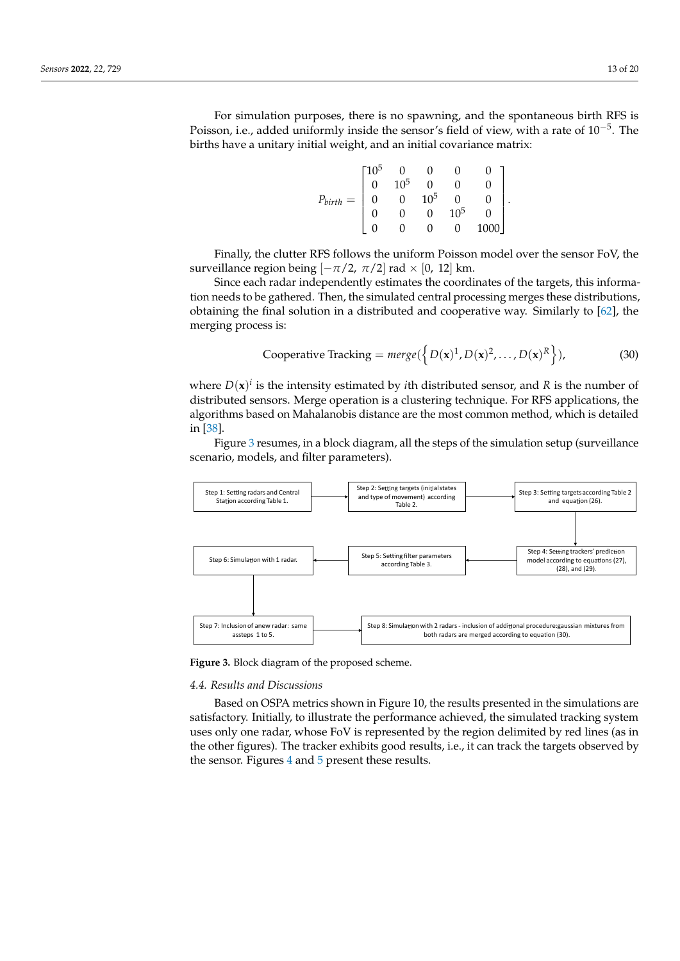For simulation purposes, there is no spawning, and the spontaneous birth RFS is Poisson, i.e., added uniformly inside the sensor's field of view, with a rate of  $10^{-5}$ . The births have a unitary initial weight, and an initial covariance matrix:

|                    | -105 |                 |          |        |  |
|--------------------|------|-----------------|----------|--------|--|
| $P_{birth}$<br>$=$ |      | 10 <sup>5</sup> |          |        |  |
|                    |      |                 | $10^{5}$ |        |  |
|                    |      |                 | $\sim$   | $10^5$ |  |
|                    |      |                 |          |        |  |

Finally, the clutter RFS follows the uniform Poisson model over the sensor FoV, the surveillance region being  $[-\pi/2, \pi/2]$  rad × [0, 12] km.

Since each radar independently estimates the coordinates of the targets, this information needs to be gathered. Then, the simulated central processing merges these distributions, obtaining the final solution in a distributed and cooperative way. Similarly to [\[62\]](#page-19-22), the merging process is:

Cooperative Tracking = 
$$
merge({D(x)^1, D(x)^2, ..., D(x)^R})
$$
, (30)

where  $D(x)^i$  is the intensity estimated by *i*th distributed sensor, and R is the number of distributed sensors. Merge operation is a clustering technique. For RFS applications, the algorithms based on Mahalanobis distance are the most common method, which is detailed in [\[38\]](#page-19-1).

Figure [3](#page-12-0) resumes, in a block diagram, all the steps of the simulation setup (surveillance scenario, models, and filter parameters).

<span id="page-12-0"></span>

**Figure 3.** Block diagram of the proposed scheme.

## *4.4. Results and Discussions*

Based on OSPA metrics shown in Figure 10, the results presented in the simulations are satisfactory. Initially, to illustrate the performance achieved, the simulated tracking system uses only one radar, whose FoV is represented by the region delimited by red lines (as in the other figures). The tracker exhibits good results, i.e., it can track the targets observed by the sensor. Figures [4](#page-13-0) and [5](#page-13-1) present these results.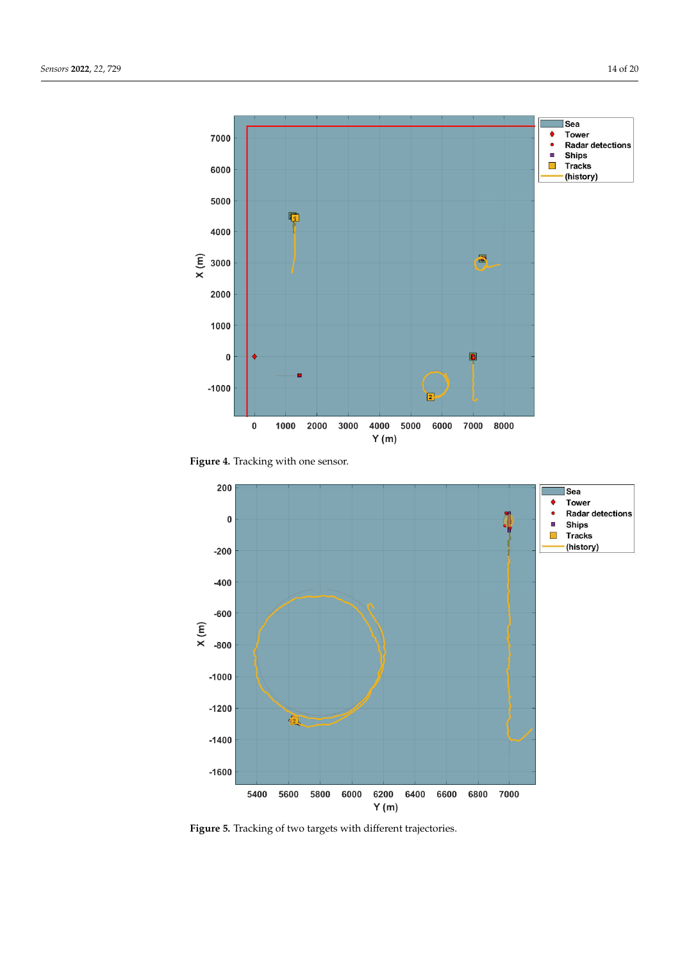<span id="page-13-0"></span>



<span id="page-13-1"></span>

**Figure 5.** Tracking of two targets with different trajectories.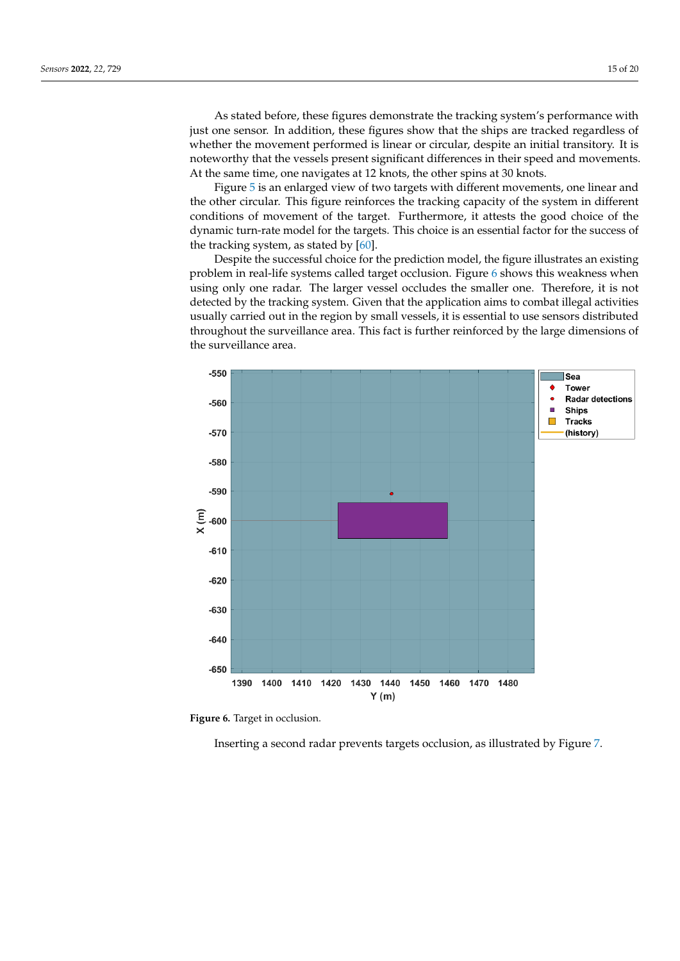As stated before, these figures demonstrate the tracking system's performance with just one sensor. In addition, these figures show that the ships are tracked regardless of whether the movement performed is linear or circular, despite an initial transitory. It is noteworthy that the vessels present significant differences in their speed and movements. At the same time, one navigates at 12 knots, the other spins at 30 knots.

Figure [5](#page-13-1) is an enlarged view of two targets with different movements, one linear and the other circular. This figure reinforces the tracking capacity of the system in different conditions of movement of the target. Furthermore, it attests the good choice of the dynamic turn-rate model for the targets. This choice is an essential factor for the success of the tracking system, as stated by  $[60]$ .

Despite the successful choice for the prediction model, the figure illustrates an existing problem in real-life systems called target occlusion. Figure [6](#page-14-0) shows this weakness when using only one radar. The larger vessel occludes the smaller one. Therefore, it is not detected by the tracking system. Given that the application aims to combat illegal activities usually carried out in the region by small vessels, it is essential to use sensors distributed throughout the surveillance area. This fact is further reinforced by the large dimensions of the surveillance area.

<span id="page-14-0"></span>

**Figure 6.** Target in occlusion.

Inserting a second radar prevents targets occlusion, as illustrated by Figure [7.](#page-15-0)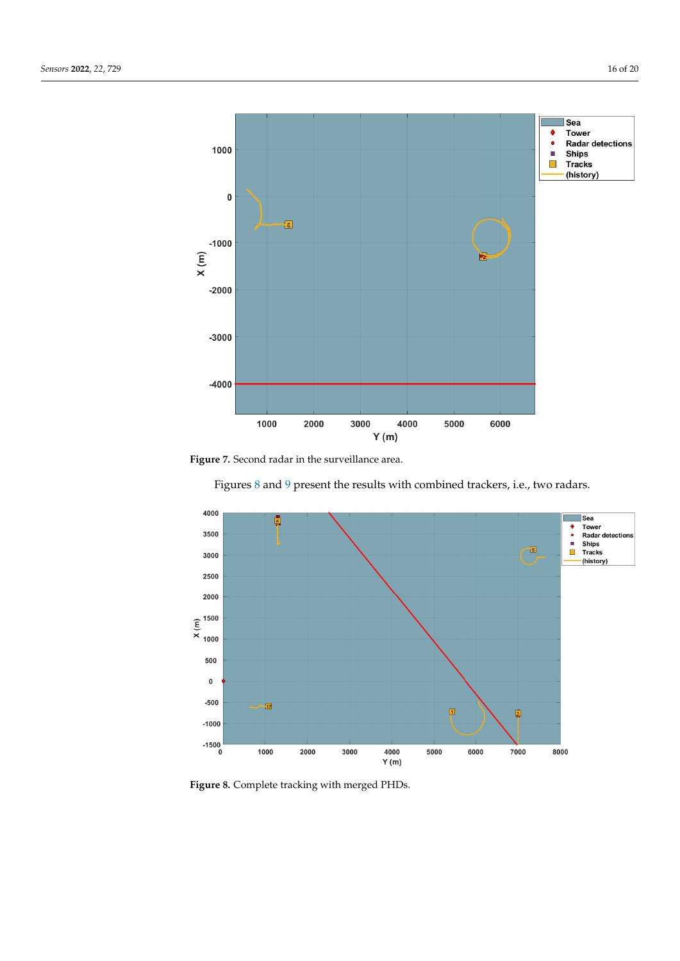<span id="page-15-0"></span>



Figures [8](#page-15-1) and [9](#page-16-0) present the results with combined trackers, i.e., two radars.

<span id="page-15-1"></span>

**Figure 8.** Complete tracking with merged PHDs.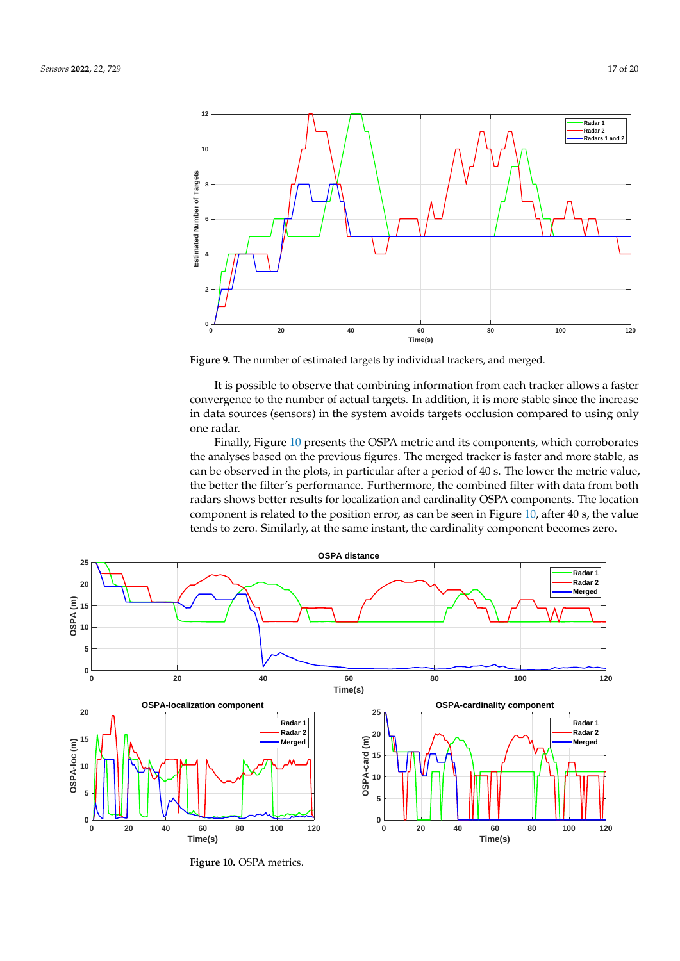<span id="page-16-0"></span>

**Figure 9.** The number of estimated targets by individual trackers, and merged.

It is possible to observe that combining information from each tracker allows a faster convergence to the number of actual targets. In addition, it is more stable since the increase in data sources (sensors) in the system avoids targets occlusion compared to using only one radar.

<span id="page-16-1"></span>Finally, Figure [10](#page-16-1) presents the OSPA metric and its components, which corroborates the analyses based on the previous figures. The merged tracker is faster and more stable, as can be observed in the plots, in particular after a period of 40 s. The lower the metric value, the better the filter's performance. Furthermore, the combined filter with data from both radars shows better results for localization and cardinality OSPA components. The location component is related to the position error, as can be seen in Figure [10,](#page-16-1) after 40 s, the value tends to zero. Similarly, at the same instant, the cardinality component becomes zero.



**Figure 10.** OSPA metrics.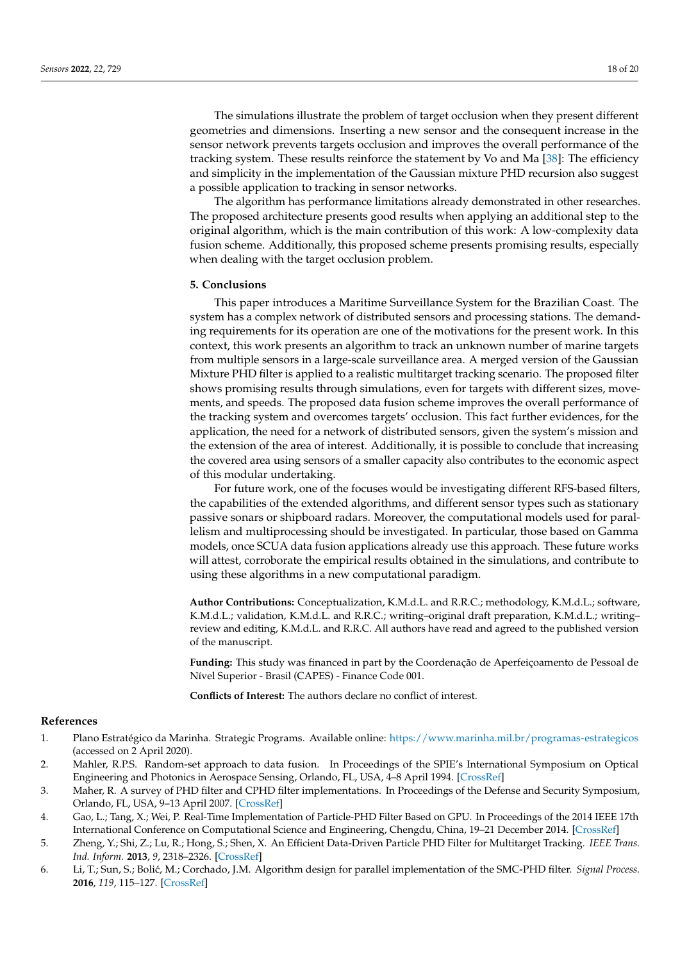The simulations illustrate the problem of target occlusion when they present different geometries and dimensions. Inserting a new sensor and the consequent increase in the sensor network prevents targets occlusion and improves the overall performance of the tracking system. These results reinforce the statement by Vo and Ma [\[38\]](#page-19-1): The efficiency and simplicity in the implementation of the Gaussian mixture PHD recursion also suggest a possible application to tracking in sensor networks.

The algorithm has performance limitations already demonstrated in other researches. The proposed architecture presents good results when applying an additional step to the original algorithm, which is the main contribution of this work: A low-complexity data fusion scheme. Additionally, this proposed scheme presents promising results, especially when dealing with the target occlusion problem.

#### <span id="page-17-6"></span>**5. Conclusions**

This paper introduces a Maritime Surveillance System for the Brazilian Coast. The system has a complex network of distributed sensors and processing stations. The demanding requirements for its operation are one of the motivations for the present work. In this context, this work presents an algorithm to track an unknown number of marine targets from multiple sensors in a large-scale surveillance area. A merged version of the Gaussian Mixture PHD filter is applied to a realistic multitarget tracking scenario. The proposed filter shows promising results through simulations, even for targets with different sizes, movements, and speeds. The proposed data fusion scheme improves the overall performance of the tracking system and overcomes targets' occlusion. This fact further evidences, for the application, the need for a network of distributed sensors, given the system's mission and the extension of the area of interest. Additionally, it is possible to conclude that increasing the covered area using sensors of a smaller capacity also contributes to the economic aspect of this modular undertaking.

For future work, one of the focuses would be investigating different RFS-based filters, the capabilities of the extended algorithms, and different sensor types such as stationary passive sonars or shipboard radars. Moreover, the computational models used for parallelism and multiprocessing should be investigated. In particular, those based on Gamma models, once SCUA data fusion applications already use this approach. These future works will attest, corroborate the empirical results obtained in the simulations, and contribute to using these algorithms in a new computational paradigm.

**Author Contributions:** Conceptualization, K.M.d.L. and R.R.C.; methodology, K.M.d.L.; software, K.M.d.L.; validation, K.M.d.L. and R.R.C.; writing–original draft preparation, K.M.d.L.; writing– review and editing, K.M.d.L. and R.R.C. All authors have read and agreed to the published version of the manuscript.

**Funding:** This study was financed in part by the Coordenação de Aperfeiçoamento de Pessoal de Nível Superior - Brasil (CAPES) - Finance Code 001.

**Conflicts of Interest:** The authors declare no conflict of interest.

# **References**

- <span id="page-17-0"></span>1. Plano Estratégico da Marinha. Strategic Programs. Available online: <https://www.marinha.mil.br/programas-estrategicos> (accessed on 2 April 2020).
- <span id="page-17-1"></span>2. Mahler, R.P.S. Random-set approach to data fusion. In Proceedings of the SPIE's International Symposium on Optical Engineering and Photonics in Aerospace Sensing, Orlando, FL, USA, 4–8 April 1994. [\[CrossRef\]](http://doi.org/10.1117/12.181026)
- <span id="page-17-2"></span>3. Maher, R. A survey of PHD filter and CPHD filter implementations. In Proceedings of the Defense and Security Symposium, Orlando, FL, USA, 9–13 April 2007. [\[CrossRef\]](http://dx.doi.org/10.1117/12.721125)
- <span id="page-17-3"></span>4. Gao, L.; Tang, X.; Wei, P. Real-Time Implementation of Particle-PHD Filter Based on GPU. In Proceedings of the 2014 IEEE 17th International Conference on Computational Science and Engineering, Chengdu, China, 19–21 December 2014. [\[CrossRef\]](http://dx.doi.org/10.1109/cse.2014.308)
- <span id="page-17-4"></span>5. Zheng, Y.; Shi, Z.; Lu, R.; Hong, S.; Shen, X. An Efficient Data-Driven Particle PHD Filter for Multitarget Tracking. *IEEE Trans. Ind. Inform.* **2013**, *9*, 2318–2326. [\[CrossRef\]](http://dx.doi.org/10.1109/TII.2012.2228875)
- <span id="page-17-5"></span>6. Li, T.; Sun, S.; Boli´c, M.; Corchado, J.M. Algorithm design for parallel implementation of the SMC-PHD filter. *Signal Process.* **2016**, *119*, 115–127. [\[CrossRef\]](http://dx.doi.org/10.1016/j.sigpro.2015.07.013)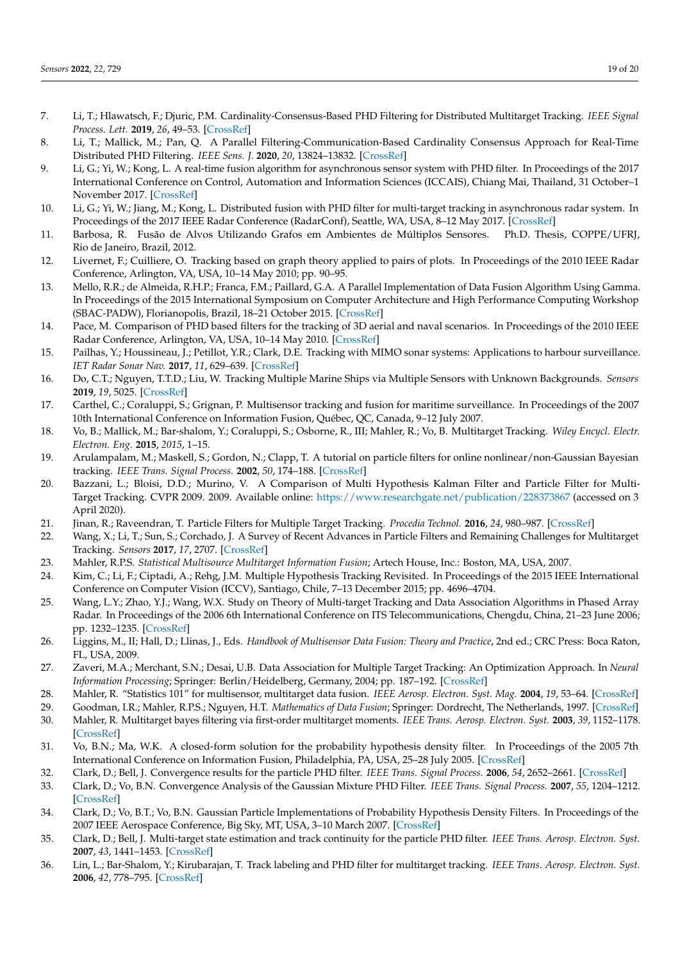- <span id="page-18-0"></span>7. Li, T.; Hlawatsch, F.; Djuric, P.M. Cardinality-Consensus-Based PHD Filtering for Distributed Multitarget Tracking. *IEEE Signal Process. Lett.* **2019**, *26*, 49–53. [\[CrossRef\]](http://dx.doi.org/10.1109/LSP.2018.2878064)
- <span id="page-18-1"></span>8. Li, T.; Mallick, M.; Pan, Q. A Parallel Filtering-Communication-Based Cardinality Consensus Approach for Real-Time Distributed PHD Filtering. *IEEE Sens. J.* **2020**, *20*, 13824–13832. [\[CrossRef\]](http://dx.doi.org/10.1109/JSEN.2020.3004068)
- <span id="page-18-2"></span>9. Li, G.; Yi, W.; Kong, L. A real-time fusion algorithm for asynchronous sensor system with PHD filter. In Proceedings of the 2017 International Conference on Control, Automation and Information Sciences (ICCAIS), Chiang Mai, Thailand, 31 October–1 November 2017. [\[CrossRef\]](http://dx.doi.org/10.1109/iccais.2017.8217563)
- <span id="page-18-3"></span>10. Li, G.; Yi, W.; Jiang, M.; Kong, L. Distributed fusion with PHD filter for multi-target tracking in asynchronous radar system. In Proceedings of the 2017 IEEE Radar Conference (RadarConf), Seattle, WA, USA, 8–12 May 2017. [\[CrossRef\]](http://dx.doi.org/10.1109/radar.2017.7944432)
- <span id="page-18-4"></span>11. Barbosa, R. Fusão de Alvos Utilizando Grafos em Ambientes de Múltiplos Sensores. Ph.D. Thesis, COPPE/UFRJ, Rio de Janeiro, Brazil, 2012.
- <span id="page-18-5"></span>12. Livernet, F.; Cuilliere, O. Tracking based on graph theory applied to pairs of plots. In Proceedings of the 2010 IEEE Radar Conference, Arlington, VA, USA, 10–14 May 2010; pp. 90–95.
- <span id="page-18-6"></span>13. Mello, R.R.; de Almeida, R.H.P.; Franca, F.M.; Paillard, G.A. A Parallel Implementation of Data Fusion Algorithm Using Gamma. In Proceedings of the 2015 International Symposium on Computer Architecture and High Performance Computing Workshop (SBAC-PADW), Florianopolis, Brazil, 18–21 October 2015. [\[CrossRef\]](http://dx.doi.org/10.1109/sbac-padw.2015.25)
- <span id="page-18-7"></span>14. Pace, M. Comparison of PHD based filters for the tracking of 3D aerial and naval scenarios. In Proceedings of the 2010 IEEE Radar Conference, Arlington, VA, USA, 10–14 May 2010. [\[CrossRef\]](http://dx.doi.org/10.1109/radar.2010.5494574)
- <span id="page-18-27"></span>15. Pailhas, Y.; Houssineau, J.; Petillot, Y.R.; Clark, D.E. Tracking with MIMO sonar systems: Applications to harbour surveillance. *IET Radar Sonar Nav.* **2017**, *11*, 629–639. [\[CrossRef\]](http://dx.doi.org/10.1049/iet-rsn.2016.0080)
- <span id="page-18-8"></span>16. Do, C.T.; Nguyen, T.T.D.; Liu, W. Tracking Multiple Marine Ships via Multiple Sensors with Unknown Backgrounds. *Sensors* **2019**, *19*, 5025. [\[CrossRef\]](http://dx.doi.org/10.3390/s19225025)
- <span id="page-18-9"></span>17. Carthel, C.; Coraluppi, S.; Grignan, P. Multisensor tracking and fusion for maritime surveillance. In Proceedings of the 2007 10th International Conference on Information Fusion, Québec, QC, Canada, 9–12 July 2007.
- <span id="page-18-10"></span>18. Vo, B.; Mallick, M.; Bar-shalom, Y.; Coraluppi, S.; Osborne, R., III; Mahler, R.; Vo, B. Multitarget Tracking. *Wiley Encycl. Electr. Electron. Eng.* **2015**, *2015*, 1–15.
- <span id="page-18-11"></span>19. Arulampalam, M.; Maskell, S.; Gordon, N.; Clapp, T. A tutorial on particle filters for online nonlinear/non-Gaussian Bayesian tracking. *IEEE Trans. Signal Process.* **2002**, *50*, 174–188. [\[CrossRef\]](http://dx.doi.org/10.1109/78.978374)
- <span id="page-18-12"></span>20. Bazzani, L.; Bloisi, D.D.; Murino, V. A Comparison of Multi Hypothesis Kalman Filter and Particle Filter for Multi-Target Tracking. CVPR 2009. 2009. Available online: <https://www.researchgate.net/publication/228373867> (accessed on 3 April 2020).
- <span id="page-18-13"></span>21. Jinan, R.; Raveendran, T. Particle Filters for Multiple Target Tracking. *Procedia Technol.* **2016**, *24*, 980–987. [\[CrossRef\]](http://dx.doi.org/10.1016/j.protcy.2016.05.215)
- <span id="page-18-14"></span>22. Wang, X.; Li, T.; Sun, S.; Corchado, J. A Survey of Recent Advances in Particle Filters and Remaining Challenges for Multitarget Tracking. *Sensors* **2017**, *17*, 2707. [\[CrossRef\]](http://dx.doi.org/10.3390/s17122707)
- <span id="page-18-15"></span>23. Mahler, R.P.S. *Statistical Multisource Multitarget Information Fusion*; Artech House, Inc.: Boston, MA, USA, 2007.
- <span id="page-18-16"></span>24. Kim, C.; Li, F.; Ciptadi, A.; Rehg, J.M. Multiple Hypothesis Tracking Revisited. In Proceedings of the 2015 IEEE International Conference on Computer Vision (ICCV), Santiago, Chile, 7–13 December 2015; pp. 4696–4704.
- <span id="page-18-17"></span>25. Wang, L.Y.; Zhao, Y.J.; Wang, W.X. Study on Theory of Multi-target Tracking and Data Association Algorithms in Phased Array Radar. In Proceedings of the 2006 6th International Conference on ITS Telecommunications, Chengdu, China, 21–23 June 2006; pp. 1232–1235. [\[CrossRef\]](http://dx.doi.org/10.1109/itst.2006.288849)
- <span id="page-18-18"></span>26. Liggins, M., II; Hall, D.; Llinas, J., Eds. *Handbook of Multisensor Data Fusion: Theory and Practice*, 2nd ed.; CRC Press: Boca Raton, FL, USA, 2009.
- <span id="page-18-19"></span>27. Zaveri, M.A.; Merchant, S.N.; Desai, U.B. Data Association for Multiple Target Tracking: An Optimization Approach. In *Neural Information Processing*; Springer: Berlin/Heidelberg, Germany, 2004; pp. 187–192. [\[CrossRef\]](http://dx.doi.org/10.1007/978-3-540-30499-9_27)
- <span id="page-18-20"></span>28. Mahler, R. "Statistics 101" for multisensor, multitarget data fusion. *IEEE Aerosp. Electron. Syst. Mag.* **2004**, *19*, 53–64. [\[CrossRef\]](http://dx.doi.org/10.1109/MAES.2004.1263231)
- <span id="page-18-21"></span>29. Goodman, I.R.; Mahler, R.P.S.; Nguyen, H.T. *Mathematics of Data Fusion*; Springer: Dordrecht, The Netherlands, 1997. [\[CrossRef\]](http://dx.doi.org/10.1007/978-94-015-8929-1)
- <span id="page-18-22"></span>30. Mahler, R. Multitarget bayes filtering via first-order multitarget moments. *IEEE Trans. Aerosp. Electron. Syst.* **2003**, *39*, 1152–1178. [\[CrossRef\]](http://dx.doi.org/10.1109/TAES.2003.1261119)
- <span id="page-18-23"></span>31. Vo, B.N.; Ma, W.K. A closed-form solution for the probability hypothesis density filter. In Proceedings of the 2005 7th International Conference on Information Fusion, Philadelphia, PA, USA, 25–28 July 2005. [\[CrossRef\]](http://dx.doi.org/10.1109/icif.2005.1591948)
- <span id="page-18-24"></span>32. Clark, D.; Bell, J. Convergence results for the particle PHD filter. *IEEE Trans. Signal Process.* **2006**, *54*, 2652–2661. [\[CrossRef\]](http://dx.doi.org/10.1109/TSP.2006.874845)
- <span id="page-18-25"></span>33. Clark, D.; Vo, B.N. Convergence Analysis of the Gaussian Mixture PHD Filter. *IEEE Trans. Signal Process.* **2007**, *55*, 1204–1212. [\[CrossRef\]](http://dx.doi.org/10.1109/TSP.2006.888886)
- <span id="page-18-26"></span>34. Clark, D.; Vo, B.T.; Vo, B.N. Gaussian Particle Implementations of Probability Hypothesis Density Filters. In Proceedings of the 2007 IEEE Aerospace Conference, Big Sky, MT, USA, 3–10 March 2007. [\[CrossRef\]](http://dx.doi.org/10.1109/aero.2007.353049)
- 35. Clark, D.; Bell, J. Multi-target state estimation and track continuity for the particle PHD filter. *IEEE Trans. Aerosp. Electron. Syst.* **2007**, *43*, 1441–1453. [\[CrossRef\]](http://dx.doi.org/10.1109/TAES.2007.4407469)
- 36. Lin, L.; Bar-Shalom, Y.; Kirubarajan, T. Track labeling and PHD filter for multitarget tracking. *IEEE Trans. Aerosp. Electron. Syst.* **2006**, *42*, 778–795. [\[CrossRef\]](http://dx.doi.org/10.1109/TAES.2006.248213)